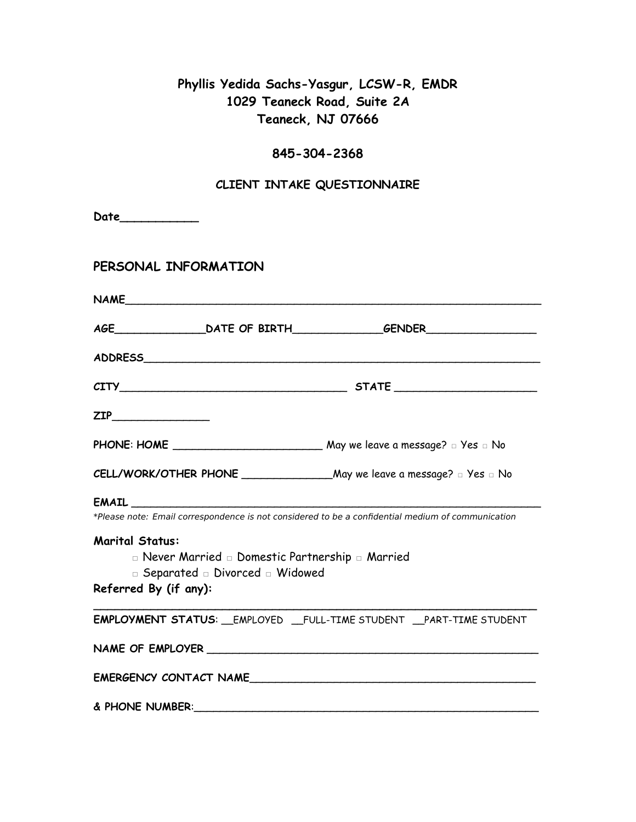## **Phyllis Yedida Sachs-Yasgur, LCSW-R, EMDR 1029 Teaneck Road, Suite 2A Teaneck, NJ 07666**

# **845-304-2368**

### **CLIENT INTAKE QUESTIONNAIRE**

| Date____________                                |                                                                                      |                                                                                                   |  |  |  |
|-------------------------------------------------|--------------------------------------------------------------------------------------|---------------------------------------------------------------------------------------------------|--|--|--|
| PERSONAL INFORMATION                            |                                                                                      |                                                                                                   |  |  |  |
|                                                 |                                                                                      | NAME                                                                                              |  |  |  |
|                                                 |                                                                                      |                                                                                                   |  |  |  |
|                                                 |                                                                                      |                                                                                                   |  |  |  |
|                                                 | $CITY$ $STATE$                                                                       |                                                                                                   |  |  |  |
|                                                 |                                                                                      |                                                                                                   |  |  |  |
|                                                 |                                                                                      |                                                                                                   |  |  |  |
|                                                 |                                                                                      |                                                                                                   |  |  |  |
|                                                 |                                                                                      |                                                                                                   |  |  |  |
|                                                 |                                                                                      | *Please note: Email correspondence is not considered to be a confidential medium of communication |  |  |  |
| <b>Marital Status:</b><br>Referred By (if any): | n Never Married n Domestic Partnership n Married<br>□ Separated □ Divorced □ Widowed |                                                                                                   |  |  |  |
|                                                 |                                                                                      | <b>EMPLOYMENT STATUS:</b> __EMPLOYED __FULL-TIME STUDENT __PART-TIME STUDENT                      |  |  |  |
|                                                 |                                                                                      |                                                                                                   |  |  |  |
|                                                 |                                                                                      | EMERGENCY CONTACT NAME                                                                            |  |  |  |
| & PHONE NUMBER:                                 |                                                                                      |                                                                                                   |  |  |  |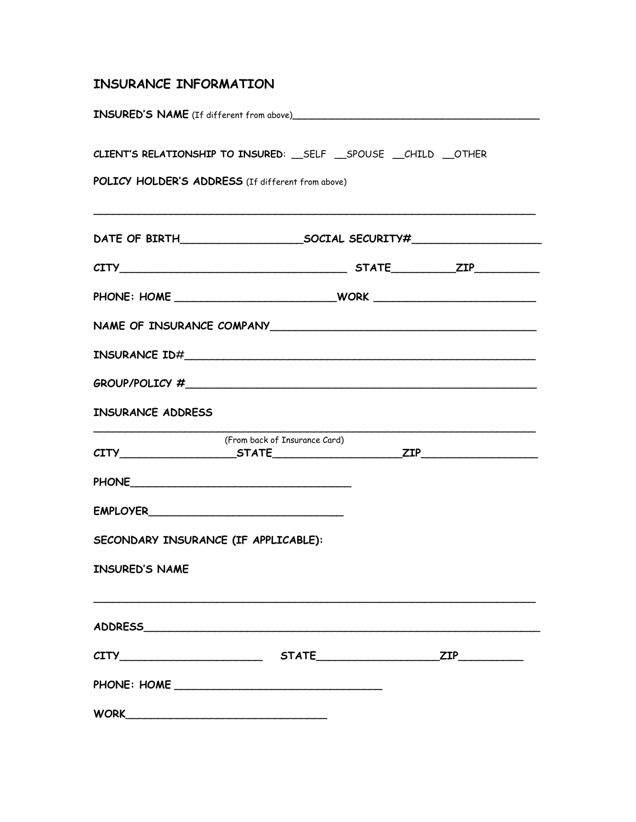### **INSURANCE INFORMATION**

| CLIENT'S RELATIONSHIP TO INSURED: __ SELF __ SPOUSE __ CHILD __ OTHER<br>POLICY HOLDER'S ADDRESS (If different from above) |  |  |
|----------------------------------------------------------------------------------------------------------------------------|--|--|
|                                                                                                                            |  |  |
| $CITY$ $STATE$ $ZIP$                                                                                                       |  |  |
|                                                                                                                            |  |  |
|                                                                                                                            |  |  |
|                                                                                                                            |  |  |
| $GROUP/POLICY # \nightharpoonup$                                                                                           |  |  |
| <b>INSURANCE ADDRESS</b>                                                                                                   |  |  |
| (From back of Insurance Card)<br>$CITY$ $STATE$ $ZIP$                                                                      |  |  |
| PHONE <b>MANUFACTURER</b>                                                                                                  |  |  |
|                                                                                                                            |  |  |
| SECONDARY INSURANCE (IF APPLICABLE):                                                                                       |  |  |
| <b>INSURED'S NAME</b>                                                                                                      |  |  |
|                                                                                                                            |  |  |
|                                                                                                                            |  |  |
|                                                                                                                            |  |  |
|                                                                                                                            |  |  |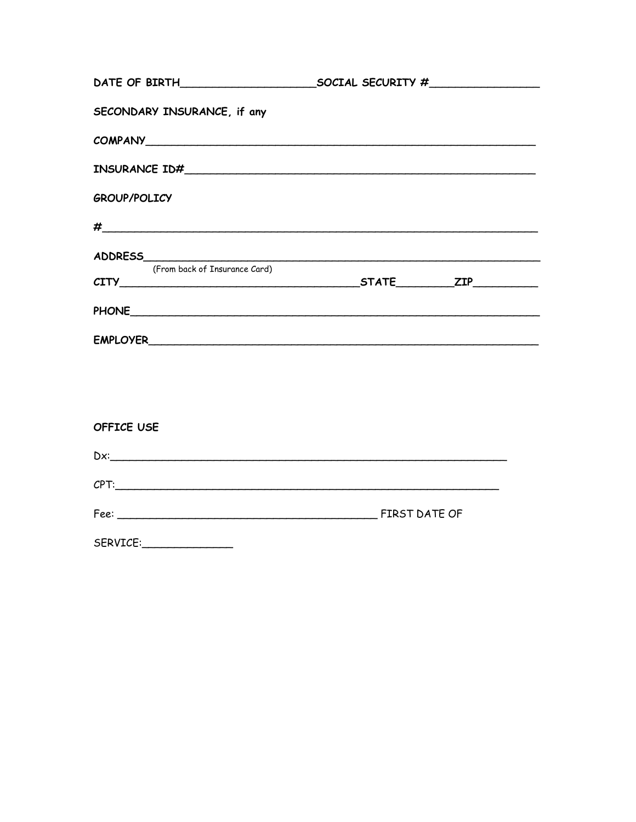| SECONDARY INSURANCE, if any                                                                                    |                      |
|----------------------------------------------------------------------------------------------------------------|----------------------|
|                                                                                                                |                      |
|                                                                                                                |                      |
| <b>GROUP/POLICY</b>                                                                                            |                      |
|                                                                                                                |                      |
|                                                                                                                |                      |
| (From back of Insurance Card)                                                                                  | $CITY$ $STATE$ $ZIP$ |
|                                                                                                                |                      |
|                                                                                                                |                      |
|                                                                                                                |                      |
|                                                                                                                |                      |
| OFFICE USE                                                                                                     |                      |
| Dx: <u>and the contract of the contract of the contract of the contract of the contract of the contract of</u> |                      |
| CPT:                                                                                                           |                      |
|                                                                                                                |                      |

| SERVICE: |  |
|----------|--|
|----------|--|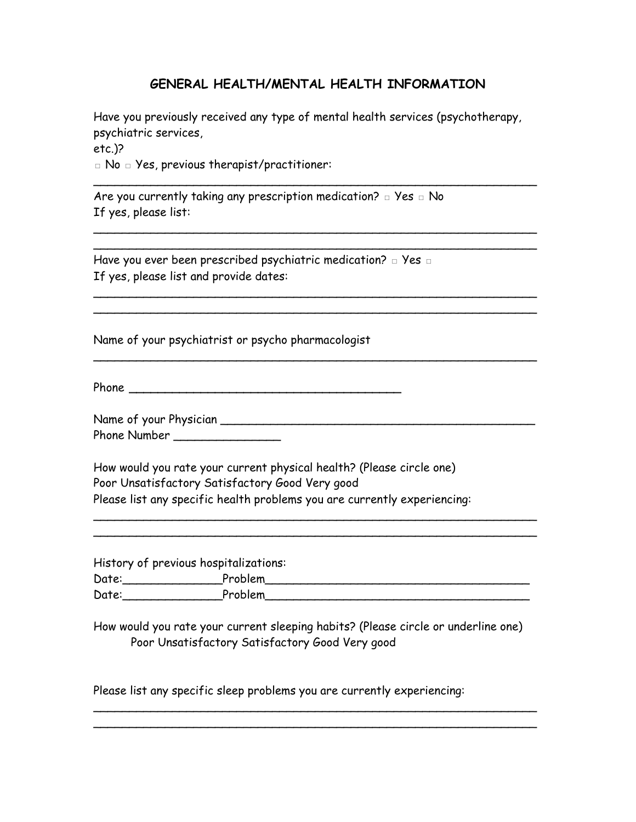#### **GENERAL HEALTH/MENTAL HEALTH INFORMATION**

Have you previously received any type of mental health services (psychotherapy, psychiatric services, etc.)?

\_\_\_\_\_\_\_\_\_\_\_\_\_\_\_\_\_\_\_\_\_\_\_\_\_\_\_\_\_\_\_\_\_\_\_\_\_\_\_\_\_\_\_\_\_\_\_\_\_\_\_\_\_\_\_\_\_\_\_\_\_\_

\_\_\_\_\_\_\_\_\_\_\_\_\_\_\_\_\_\_\_\_\_\_\_\_\_\_\_\_\_\_\_\_\_\_\_\_\_\_\_\_\_\_\_\_\_\_\_\_\_\_\_\_\_\_\_\_\_\_\_\_\_\_ \_\_\_\_\_\_\_\_\_\_\_\_\_\_\_\_\_\_\_\_\_\_\_\_\_\_\_\_\_\_\_\_\_\_\_\_\_\_\_\_\_\_\_\_\_\_\_\_\_\_\_\_\_\_\_\_\_\_\_\_\_\_

\_\_\_\_\_\_\_\_\_\_\_\_\_\_\_\_\_\_\_\_\_\_\_\_\_\_\_\_\_\_\_\_\_\_\_\_\_\_\_\_\_\_\_\_\_\_\_\_\_\_\_\_\_\_\_\_\_\_\_\_\_\_ \_\_\_\_\_\_\_\_\_\_\_\_\_\_\_\_\_\_\_\_\_\_\_\_\_\_\_\_\_\_\_\_\_\_\_\_\_\_\_\_\_\_\_\_\_\_\_\_\_\_\_\_\_\_\_\_\_\_\_\_\_\_

\_\_\_\_\_\_\_\_\_\_\_\_\_\_\_\_\_\_\_\_\_\_\_\_\_\_\_\_\_\_\_\_\_\_\_\_\_\_\_\_\_\_\_\_\_\_\_\_\_\_\_\_\_\_\_\_\_\_\_\_\_\_

□ No □ Yes, previous therapist/practitioner:

Are you currently taking any prescription medication?  $\Box$  Yes  $\Box$  No If yes, please list:

Have you ever been prescribed psychiatric medication?  $□$  Yes  $□$ If yes, please list and provide dates:

Name of your psychiatrist or psycho pharmacologist

Phone **\_\_\_\_\_\_\_\_\_\_\_\_\_\_\_\_\_\_\_\_\_\_\_\_\_\_\_\_\_\_\_\_\_\_\_\_\_\_**

Name of your Physician \_\_\_\_\_\_\_\_\_\_\_\_\_\_\_\_\_\_\_\_\_\_\_\_\_\_\_\_\_\_\_\_\_\_\_\_\_\_\_\_\_\_\_\_ Phone Number \_\_\_\_\_\_\_\_\_\_\_\_\_\_\_

How would you rate your current physical health? (Please circle one) Poor Unsatisfactory Satisfactory Good Very good Please list any specific health problems you are currently experiencing:

 $\mathcal{L}_\text{max}$  and  $\mathcal{L}_\text{max}$  and  $\mathcal{L}_\text{max}$  and  $\mathcal{L}_\text{max}$  and  $\mathcal{L}_\text{max}$ 

History of previous hospitalizations: Date:\_\_\_\_\_\_\_\_\_\_\_\_\_\_Problem\_\_\_\_\_\_\_\_\_\_\_\_\_\_\_\_\_\_\_\_\_\_\_\_\_\_\_\_\_\_\_\_\_\_\_\_\_ Date: the contract of the Problem  $\Box$ 

\_\_\_\_\_\_\_\_\_\_\_\_\_\_\_\_\_\_\_\_\_\_\_\_\_\_\_\_\_\_\_\_\_\_\_\_\_\_\_\_\_\_\_\_\_\_\_\_\_\_\_\_\_\_\_\_\_\_\_\_\_\_

How would you rate your current sleeping habits? (Please circle or underline one) Poor Unsatisfactory Satisfactory Good Very good

\_\_\_\_\_\_\_\_\_\_\_\_\_\_\_\_\_\_\_\_\_\_\_\_\_\_\_\_\_\_\_\_\_\_\_\_\_\_\_\_\_\_\_\_\_\_\_\_\_\_\_\_\_\_\_\_\_\_\_\_\_\_ \_\_\_\_\_\_\_\_\_\_\_\_\_\_\_\_\_\_\_\_\_\_\_\_\_\_\_\_\_\_\_\_\_\_\_\_\_\_\_\_\_\_\_\_\_\_\_\_\_\_\_\_\_\_\_\_\_\_\_\_\_\_

Please list any specific sleep problems you are currently experiencing: